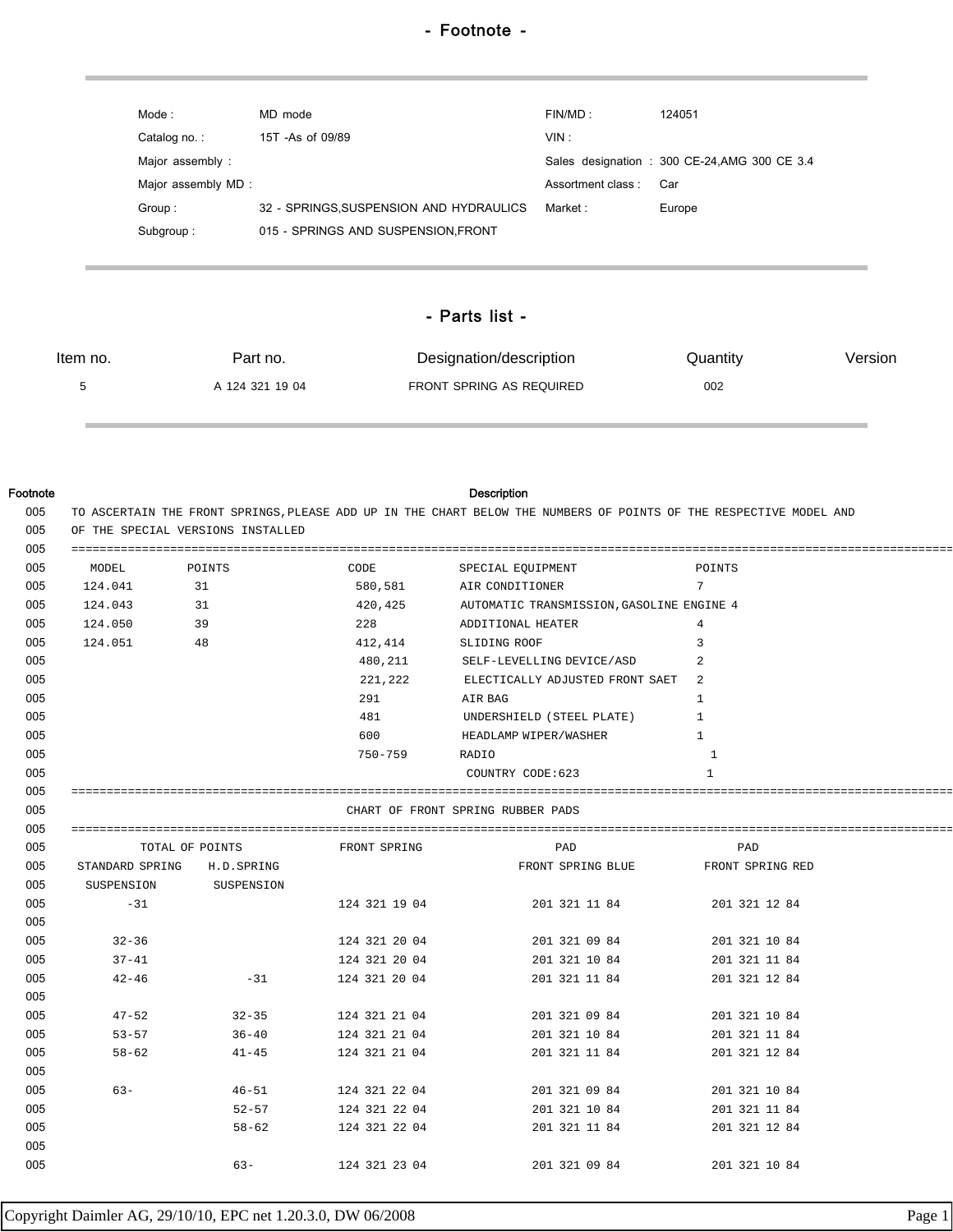| Mode :             | MD mode                                 | FINMD:            | 124051                                        |
|--------------------|-----------------------------------------|-------------------|-----------------------------------------------|
| Catalog no.:       | 15T - As of 09/89                       | VIN:              |                                               |
| Major assembly:    |                                         |                   | Sales designation : 300 CE-24, AMG 300 CE 3.4 |
| Major assembly MD: |                                         | Assortment class: | Car                                           |
| Group:             | 32 - SPRINGS, SUSPENSION AND HYDRAULICS | Market :          | Europe                                        |
| Subgroup:          | 015 - SPRINGS AND SUSPENSION FRONT      |                   |                                               |

## - Parts list -

| Item no. | Part no.        | Designation/description  | Quantity | Version |
|----------|-----------------|--------------------------|----------|---------|
|          | A 124 321 19 04 | FRONT SPRING AS REQUIRED | 002      |         |

## Footnote Description

| MODEL      | POINTS                       | CODE <b>SECURE 1999</b> | SPECIAL EQUIPMENT                                  | POINTS         |
|------------|------------------------------|-------------------------|----------------------------------------------------|----------------|
| 124.041 31 |                              |                         | 580,581 AIR CONDITIONER                            | $7^{\circ}$    |
| 124.043 31 |                              |                         | 420, 425 AUTOMATIC TRANSMISSION, GASOLINE ENGINE 4 |                |
| 124.050 39 |                              | 228                     | ADDITIONAL HEATER                                  | 4              |
| 124.051 48 |                              |                         | 412,414 SLIDING ROOF                               | 3              |
|            |                              |                         | 480, 211 SELF-LEVELLING DEVICE/ASD                 |                |
|            |                              |                         | 221, 222 ELECTICALLY ADJUSTED FRONT SAET 2         |                |
|            |                              | 291 AIR BAG             |                                                    | 1              |
|            |                              | 481 \                   | UNDERSHIELD (STEEL PLATE)                          | $\overline{1}$ |
|            |                              | 600 000                 | HEADLAMP WIPER/WASHER                              | $\overline{1}$ |
|            |                              | 750-759                 | RADIO                                              | <sup>1</sup>   |
|            |                              |                         | COUNTRY CODE:623                                   | $\mathbf{1}$   |
|            |                              |                         |                                                    |                |
|            |                              |                         | CHART OF FRONT SPRING RUBBER PADS                  |                |
|            |                              |                         |                                                    |                |
|            |                              |                         |                                                    |                |
|            | TOTAL OF POINTS FRONT SPRING |                         | PAD                                                | PAD            |
|            | STANDARD SPRING H.D. SPRING  |                         | FRONT SPRING BLUE FRONT SPRING RED                 |                |
|            | SUSPENSION SUSPENSION        |                         |                                                    |                |
| $-31$      |                              | 124 321 19 04           | 201 321 11 84                                      | 201 321 12 84  |
|            |                              |                         |                                                    |                |
| $32 - 36$  |                              |                         | 124 321 20 04 201 321 09 84 201 321 10 84          |                |
| $37 - 41$  |                              |                         | 124 321 20 04 201 321 10 84 201 321 11 84          |                |
| $42 - 46$  | $-31$                        |                         | 124 321 20 04 201 321 11 84                        | 201 321 12 84  |
|            |                              |                         |                                                    |                |
| $47 - 52$  |                              |                         | $32-35$ 124 321 21 04 201 321 09 84                | 201 321 10 84  |
| $53 - 57$  |                              | 36-40 124 321 21 04     | 201 321 10 84                                      | 201 321 11 84  |
| $58 - 62$  | $41 - 45$                    | 124 321 21 04           | 201 321 11 84                                      | 201 321 12 84  |
|            |                              |                         |                                                    |                |
| $63 -$     |                              |                         | 46-51 124 321 22 04 201 321 09 84                  | 201 321 10 84  |
|            | $52 - 57$                    | 124 321 22 04           | 201 321 10 84                                      | 201 321 11 84  |
|            | $58 - 62$                    | 124 321 22 04           | 201 321 11 84                                      | 201 321 12 84  |
|            | $63 -$                       | 124 321 23 04           | 201 321 09 84                                      | 201 321 10 84  |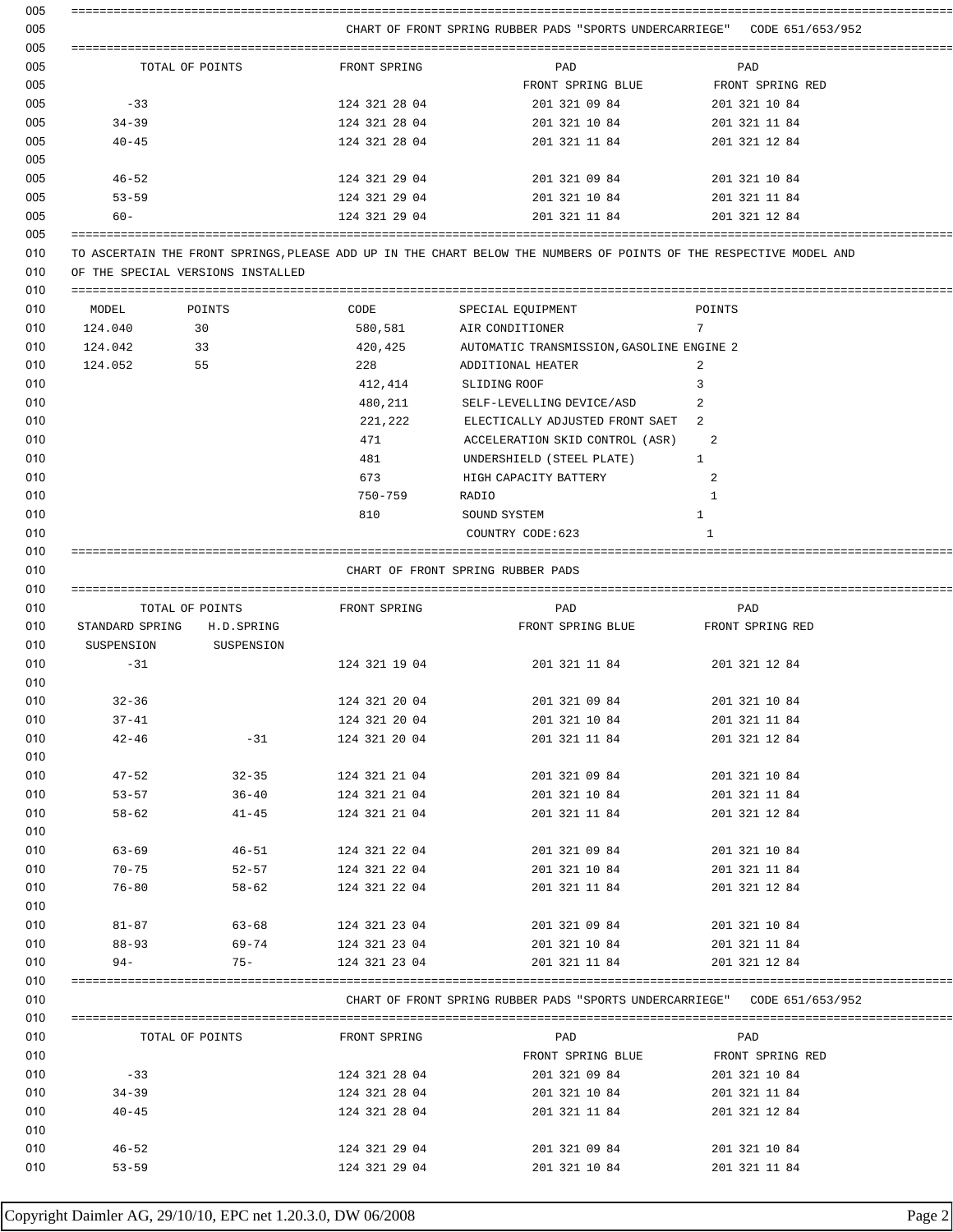|                                                      |                                   |                                | CHART OF FRONT SPRING RUBBER PADS "SPORTS UNDERCARRIEGE" CODE 651/653/952                                          |                                |
|------------------------------------------------------|-----------------------------------|--------------------------------|--------------------------------------------------------------------------------------------------------------------|--------------------------------|
|                                                      | TOTAL OF POINTS                   | FRONT SPRING                   | PAD                                                                                                                | PAD                            |
|                                                      |                                   |                                | FRONT SPRING BLUE FRONT SPRING RED                                                                                 |                                |
| $-33$                                                |                                   | 124 321 28 04                  | 201 321 09 84 201 321 10 84                                                                                        |                                |
| $34 - 39$                                            |                                   | 124 321 28 04                  | 201 321 10 84 201 321 11 84                                                                                        |                                |
| $40 - 45$                                            |                                   | 124 321 28 04                  | 201 321 11 84                                                                                                      | 201 321 12 84                  |
| $46 - 52$                                            |                                   | 124 321 29 04                  | 201 321 09 84                                                                                                      | 201 321 10 84                  |
| $53 - 59$                                            |                                   |                                | $124$ 321 29 04 201 321 10 84 201 321 11 84                                                                        |                                |
| $60 -$                                               |                                   | 124 321 29 04                  | 201 321 11 84                                                                                                      | 201 321 12 84                  |
|                                                      | OF THE SPECIAL VERSIONS INSTALLED |                                | TO ASCERTAIN THE FRONT SPRINGS, PLEASE ADD UP IN THE CHART BELOW THE NUMBERS OF POINTS OF THE RESPECTIVE MODEL AND |                                |
| MODEL POINTS                                         |                                   |                                | CODE SPECIAL EQUIPMENT<br><b>POINTS</b>                                                                            |                                |
| 30<br>124.040                                        |                                   |                                | 580,581 AIR CONDITIONER                                                                                            | 7                              |
| 33<br>124.042                                        |                                   |                                | 420, 425 AUTOMATIC TRANSMISSION, GASOLINE ENGINE 2                                                                 |                                |
| 124.052                                              | 55                                | 228                            | ADDITIONAL HEATER                                                                                                  | -2                             |
|                                                      |                                   |                                | 412,414 SLIDING ROOF                                                                                               | 3                              |
|                                                      |                                   |                                | 480, 211 SELF-LEVELLING DEVICE/ASD                                                                                 |                                |
|                                                      |                                   |                                | 221, 222 ELECTICALLY ADJUSTED FRONT SAET 2                                                                         |                                |
|                                                      |                                   | 471                            | ACCELERATION SKID CONTROL (ASR)                                                                                    | -2                             |
|                                                      |                                   |                                | 481 UNDERSHIELD (STEEL PLATE) 1                                                                                    |                                |
|                                                      |                                   |                                | 673 HIGH CAPACITY BATTERY                                                                                          | 2                              |
|                                                      |                                   | 750-759 RADIO                  |                                                                                                                    | $\mathbf{1}$                   |
|                                                      |                                   | 810                            | SOUND SYSTEM                                                                                                       | $\mathbf{1}$                   |
|                                                      |                                   |                                | COUNTRY CODE:623                                                                                                   | 1                              |
|                                                      |                                   |                                |                                                                                                                    |                                |
|                                                      |                                   |                                | CHART OF FRONT SPRING RUBBER PADS                                                                                  |                                |
|                                                      |                                   |                                |                                                                                                                    |                                |
|                                                      | TOTAL OF POINTS FRONT SPRING      |                                | PAD                                                                                                                | PAD                            |
| STANDARD SPRING H.D. SPRING<br>SUSPENSION SUSPENSION |                                   |                                | FRONT SPRING BLUE FRONT SPRING RED                                                                                 |                                |
| $-31$                                                |                                   | 124 321 19 04                  | 201 321 11 84 201 321 12 84                                                                                        |                                |
|                                                      |                                   | 124 321 20 04                  |                                                                                                                    |                                |
| $32 - 36$<br>$37 - 41$                               |                                   |                                | 201 321 09 84<br>201 321 10 84                                                                                     | 201 321 10 84<br>201 321 11 84 |
| $42 - 46$                                            | -31                               | 124 321 20 04<br>124 321 20 04 | 201 321 11 84                                                                                                      | 201 321 12 84                  |
| $47 - 52$                                            | $32 - 35$                         | 124 321 21 04                  | 201 321 09 84                                                                                                      | 201 321 10 84                  |
| $53 - 57$                                            |                                   | 124 321 21 04                  |                                                                                                                    | 201 321 11 84                  |
| $58 - 62$                                            | $36 - 40$<br>$41 - 45$            | 124 321 21 04                  | 201 321 10 84<br>201 321 11 84                                                                                     | 201 321 12 84                  |
|                                                      |                                   |                                |                                                                                                                    |                                |
| $63 - 69$                                            | $46 - 51$                         | 124 321 22 04                  | 201 321 09 84                                                                                                      | 201 321 10 84                  |
| $70 - 75$                                            | $52 - 57$                         | 124 321 22 04                  | 201 321 10 84                                                                                                      | 201 321 11 84                  |
| $76 - 80$                                            | $58 - 62$                         | 124 321 22 04                  | 201 321 11 84                                                                                                      | 201 321 12 84                  |
|                                                      |                                   |                                |                                                                                                                    |                                |
| $81 - 87$                                            | 63-68                             | 124 321 23 04                  | 201 321 09 84                                                                                                      | 201 321 10 84                  |
| 88-93                                                | 69-74                             | 124 321 23 04                  | 201 321 10 84                                                                                                      | 201 321 11 84                  |
| $94 -$                                               | $75 -$                            | 124 321 23 04                  | 201 321 11 84                                                                                                      | 201 321 12 84                  |
|                                                      |                                   |                                |                                                                                                                    |                                |
|                                                      |                                   |                                | CHART OF FRONT SPRING RUBBER PADS "SPORTS UNDERCARRIEGE" CODE 651/653/952                                          |                                |
|                                                      | TOTAL OF POINTS                   | FRONT SPRING                   | PAD                                                                                                                | PAD                            |
|                                                      |                                   |                                | FRONT SPRING BLUE                                                                                                  | FRONT SPRING RED               |
| $-33$                                                |                                   | 124 321 28 04                  | 201 321 09 84                                                                                                      | 201 321 10 84                  |
| $34 - 39$                                            |                                   | 124 321 28 04                  | 201 321 10 84                                                                                                      | 201 321 11 84                  |
| $40 - 45$                                            |                                   | 124 321 28 04                  | 201 321 11 84                                                                                                      | 201 321 12 84                  |
|                                                      |                                   |                                |                                                                                                                    |                                |
| $46 - 52$                                            |                                   | 124 321 29 04                  | 201 321 09 84                                                                                                      | 201 321 10 84                  |